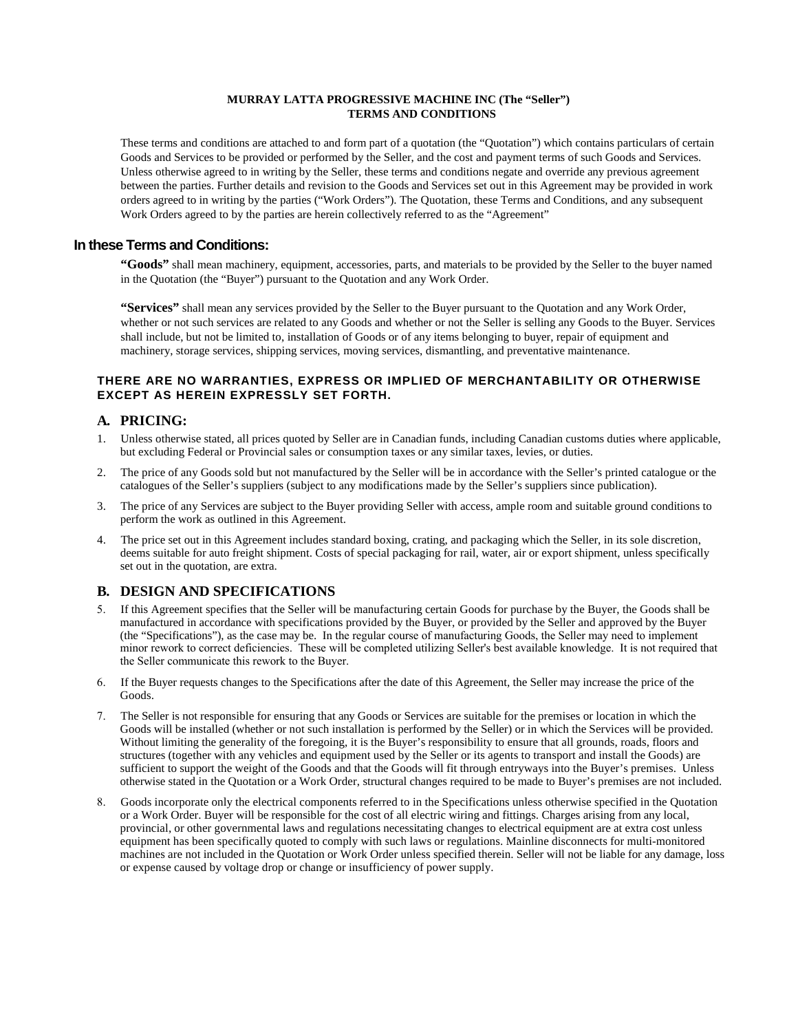#### **MURRAY LATTA PROGRESSIVE MACHINE INC (The "Seller") TERMS AND CONDITIONS**

These terms and conditions are attached to and form part of a quotation (the "Quotation") which contains particulars of certain Goods and Services to be provided or performed by the Seller, and the cost and payment terms of such Goods and Services. Unless otherwise agreed to in writing by the Seller, these terms and conditions negate and override any previous agreement between the parties. Further details and revision to the Goods and Services set out in this Agreement may be provided in work orders agreed to in writing by the parties ("Work Orders"). The Quotation, these Terms and Conditions, and any subsequent Work Orders agreed to by the parties are herein collectively referred to as the "Agreement"

### **In these Terms and Conditions:**

**"Goods"** shall mean machinery, equipment, accessories, parts, and materials to be provided by the Seller to the buyer named in the Quotation (the "Buyer") pursuant to the Quotation and any Work Order.

**"Services"** shall mean any services provided by the Seller to the Buyer pursuant to the Quotation and any Work Order, whether or not such services are related to any Goods and whether or not the Seller is selling any Goods to the Buyer. Services shall include, but not be limited to, installation of Goods or of any items belonging to buyer, repair of equipment and machinery, storage services, shipping services, moving services, dismantling, and preventative maintenance.

#### **THERE ARE NO WARRANTIES, EXPRESS OR IMPLIED OF MERCHANTABILITY OR OTHERWISE EXCEPT AS HEREIN EXPRESSLY SET FORTH.**

### **A. PRICING:**

- 1. Unless otherwise stated, all prices quoted by Seller are in Canadian funds, including Canadian customs duties where applicable, but excluding Federal or Provincial sales or consumption taxes or any similar taxes, levies, or duties.
- 2. The price of any Goods sold but not manufactured by the Seller will be in accordance with the Seller's printed catalogue or the catalogues of the Seller's suppliers (subject to any modifications made by the Seller's suppliers since publication).
- 3. The price of any Services are subject to the Buyer providing Seller with access, ample room and suitable ground conditions to perform the work as outlined in this Agreement.
- 4. The price set out in this Agreement includes standard boxing, crating, and packaging which the Seller, in its sole discretion, deems suitable for auto freight shipment. Costs of special packaging for rail, water, air or export shipment, unless specifically set out in the quotation, are extra.

### **B. DESIGN AND SPECIFICATIONS**

- 5. If this Agreement specifies that the Seller will be manufacturing certain Goods for purchase by the Buyer, the Goods shall be manufactured in accordance with specifications provided by the Buyer, or provided by the Seller and approved by the Buyer (the "Specifications"), as the case may be. In the regular course of manufacturing Goods, the Seller may need to implement minor rework to correct deficiencies. These will be completed utilizing Seller's best available knowledge. It is not required that the Seller communicate this rework to the Buyer.
- 6. If the Buyer requests changes to the Specifications after the date of this Agreement, the Seller may increase the price of the Goods.
- 7. The Seller is not responsible for ensuring that any Goods or Services are suitable for the premises or location in which the Goods will be installed (whether or not such installation is performed by the Seller) or in which the Services will be provided. Without limiting the generality of the foregoing, it is the Buyer's responsibility to ensure that all grounds, roads, floors and structures (together with any vehicles and equipment used by the Seller or its agents to transport and install the Goods) are sufficient to support the weight of the Goods and that the Goods will fit through entryways into the Buyer's premises. Unless otherwise stated in the Quotation or a Work Order, structural changes required to be made to Buyer's premises are not included.
- 8. Goods incorporate only the electrical components referred to in the Specifications unless otherwise specified in the Quotation or a Work Order. Buyer will be responsible for the cost of all electric wiring and fittings. Charges arising from any local, provincial, or other governmental laws and regulations necessitating changes to electrical equipment are at extra cost unless equipment has been specifically quoted to comply with such laws or regulations. Mainline disconnects for multi-monitored machines are not included in the Quotation or Work Order unless specified therein. Seller will not be liable for any damage, loss or expense caused by voltage drop or change or insufficiency of power supply.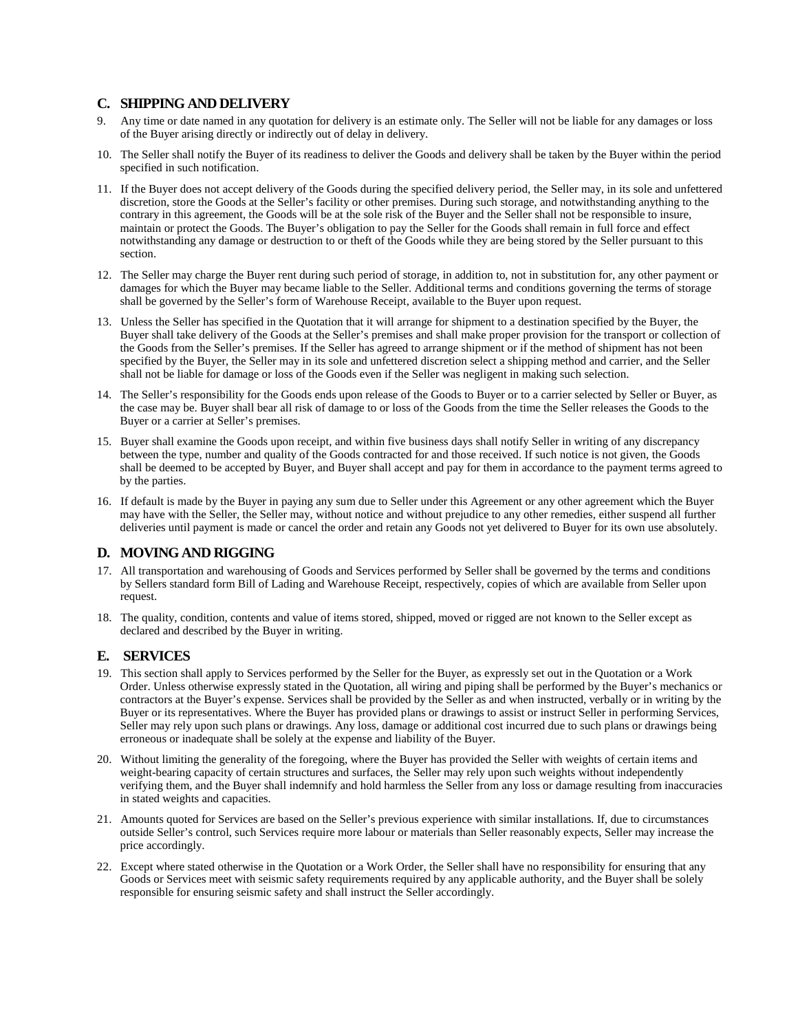#### **C. SHIPPING AND DELIVERY**

- 9. Any time or date named in any quotation for delivery is an estimate only. The Seller will not be liable for any damages or loss of the Buyer arising directly or indirectly out of delay in delivery.
- 10. The Seller shall notify the Buyer of its readiness to deliver the Goods and delivery shall be taken by the Buyer within the period specified in such notification.
- 11. If the Buyer does not accept delivery of the Goods during the specified delivery period, the Seller may, in its sole and unfettered discretion, store the Goods at the Seller's facility or other premises. During such storage, and notwithstanding anything to the contrary in this agreement, the Goods will be at the sole risk of the Buyer and the Seller shall not be responsible to insure, maintain or protect the Goods. The Buyer's obligation to pay the Seller for the Goods shall remain in full force and effect notwithstanding any damage or destruction to or theft of the Goods while they are being stored by the Seller pursuant to this section.
- 12. The Seller may charge the Buyer rent during such period of storage, in addition to, not in substitution for, any other payment or damages for which the Buyer may became liable to the Seller. Additional terms and conditions governing the terms of storage shall be governed by the Seller's form of Warehouse Receipt, available to the Buyer upon request.
- 13. Unless the Seller has specified in the Quotation that it will arrange for shipment to a destination specified by the Buyer, the Buyer shall take delivery of the Goods at the Seller's premises and shall make proper provision for the transport or collection of the Goods from the Seller's premises. If the Seller has agreed to arrange shipment or if the method of shipment has not been specified by the Buyer, the Seller may in its sole and unfettered discretion select a shipping method and carrier, and the Seller shall not be liable for damage or loss of the Goods even if the Seller was negligent in making such selection.
- 14. The Seller's responsibility for the Goods ends upon release of the Goods to Buyer or to a carrier selected by Seller or Buyer, as the case may be. Buyer shall bear all risk of damage to or loss of the Goods from the time the Seller releases the Goods to the Buyer or a carrier at Seller's premises.
- 15. Buyer shall examine the Goods upon receipt, and within five business days shall notify Seller in writing of any discrepancy between the type, number and quality of the Goods contracted for and those received. If such notice is not given, the Goods shall be deemed to be accepted by Buyer, and Buyer shall accept and pay for them in accordance to the payment terms agreed to by the parties.
- 16. If default is made by the Buyer in paying any sum due to Seller under this Agreement or any other agreement which the Buyer may have with the Seller, the Seller may, without notice and without prejudice to any other remedies, either suspend all further deliveries until payment is made or cancel the order and retain any Goods not yet delivered to Buyer for its own use absolutely.

### **D. MOVING AND RIGGING**

- 17. All transportation and warehousing of Goods and Services performed by Seller shall be governed by the terms and conditions by Sellers standard form Bill of Lading and Warehouse Receipt, respectively, copies of which are available from Seller upon request.
- 18. The quality, condition, contents and value of items stored, shipped, moved or rigged are not known to the Seller except as declared and described by the Buyer in writing.

# **E. SERVICES**

- 19. This section shall apply to Services performed by the Seller for the Buyer, as expressly set out in the Quotation or a Work Order. Unless otherwise expressly stated in the Quotation, all wiring and piping shall be performed by the Buyer's mechanics or contractors at the Buyer's expense. Services shall be provided by the Seller as and when instructed, verbally or in writing by the Buyer or its representatives. Where the Buyer has provided plans or drawings to assist or instruct Seller in performing Services, Seller may rely upon such plans or drawings. Any loss, damage or additional cost incurred due to such plans or drawings being erroneous or inadequate shall be solely at the expense and liability of the Buyer.
- 20. Without limiting the generality of the foregoing, where the Buyer has provided the Seller with weights of certain items and weight-bearing capacity of certain structures and surfaces, the Seller may rely upon such weights without independently verifying them, and the Buyer shall indemnify and hold harmless the Seller from any loss or damage resulting from inaccuracies in stated weights and capacities.
- 21. Amounts quoted for Services are based on the Seller's previous experience with similar installations. If, due to circumstances outside Seller's control, such Services require more labour or materials than Seller reasonably expects, Seller may increase the price accordingly.
- 22. Except where stated otherwise in the Quotation or a Work Order, the Seller shall have no responsibility for ensuring that any Goods or Services meet with seismic safety requirements required by any applicable authority, and the Buyer shall be solely responsible for ensuring seismic safety and shall instruct the Seller accordingly.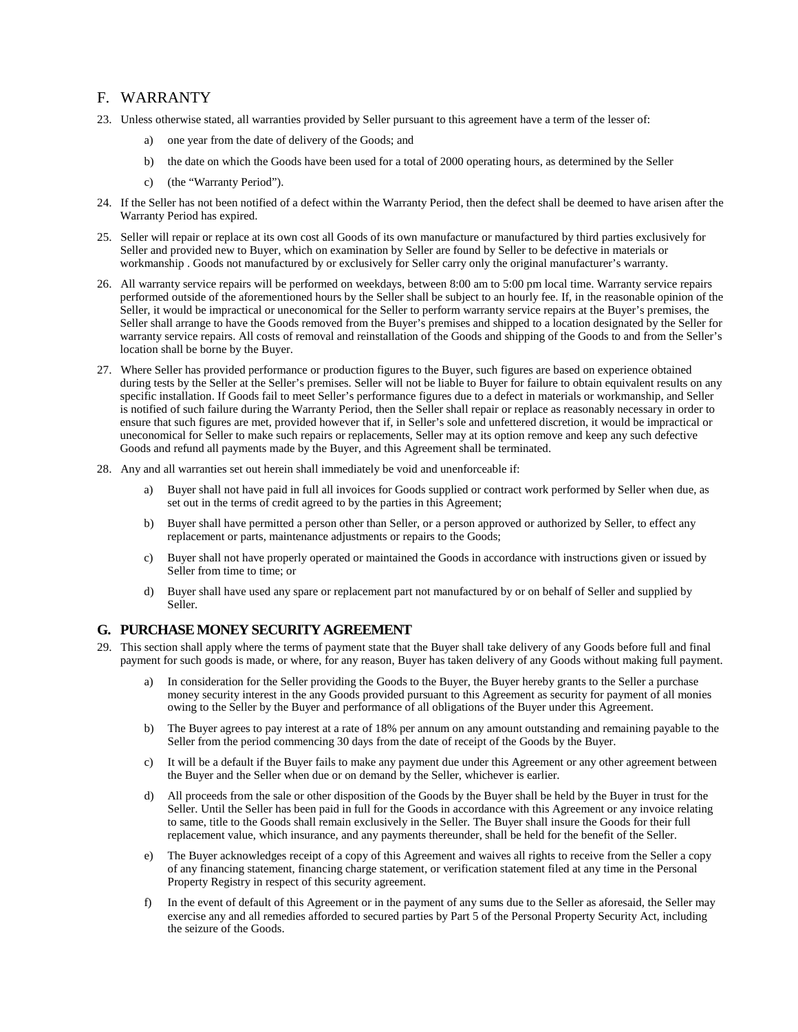# F. WARRANTY

- 23. Unless otherwise stated, all warranties provided by Seller pursuant to this agreement have a term of the lesser of:
	- a) one year from the date of delivery of the Goods; and
	- b) the date on which the Goods have been used for a total of 2000 operating hours, as determined by the Seller
	- c) (the "Warranty Period").
- 24. If the Seller has not been notified of a defect within the Warranty Period, then the defect shall be deemed to have arisen after the Warranty Period has expired.
- 25. Seller will repair or replace at its own cost all Goods of its own manufacture or manufactured by third parties exclusively for Seller and provided new to Buyer, which on examination by Seller are found by Seller to be defective in materials or workmanship . Goods not manufactured by or exclusively for Seller carry only the original manufacturer's warranty.
- 26. All warranty service repairs will be performed on weekdays, between 8:00 am to 5:00 pm local time. Warranty service repairs performed outside of the aforementioned hours by the Seller shall be subject to an hourly fee. If, in the reasonable opinion of the Seller, it would be impractical or uneconomical for the Seller to perform warranty service repairs at the Buyer's premises, the Seller shall arrange to have the Goods removed from the Buyer's premises and shipped to a location designated by the Seller for warranty service repairs. All costs of removal and reinstallation of the Goods and shipping of the Goods to and from the Seller's location shall be borne by the Buyer.
- 27. Where Seller has provided performance or production figures to the Buyer, such figures are based on experience obtained during tests by the Seller at the Seller's premises. Seller will not be liable to Buyer for failure to obtain equivalent results on any specific installation. If Goods fail to meet Seller's performance figures due to a defect in materials or workmanship, and Seller is notified of such failure during the Warranty Period, then the Seller shall repair or replace as reasonably necessary in order to ensure that such figures are met, provided however that if, in Seller's sole and unfettered discretion, it would be impractical or uneconomical for Seller to make such repairs or replacements, Seller may at its option remove and keep any such defective Goods and refund all payments made by the Buyer, and this Agreement shall be terminated.
- 28. Any and all warranties set out herein shall immediately be void and unenforceable if:
	- a) Buyer shall not have paid in full all invoices for Goods supplied or contract work performed by Seller when due, as set out in the terms of credit agreed to by the parties in this Agreement;
	- b) Buyer shall have permitted a person other than Seller, or a person approved or authorized by Seller, to effect any replacement or parts, maintenance adjustments or repairs to the Goods;
	- c) Buyer shall not have properly operated or maintained the Goods in accordance with instructions given or issued by Seller from time to time; or
	- d) Buyer shall have used any spare or replacement part not manufactured by or on behalf of Seller and supplied by Seller.

### **G. PURCHASE MONEY SECURITY AGREEMENT**

- 29. This section shall apply where the terms of payment state that the Buyer shall take delivery of any Goods before full and final payment for such goods is made, or where, for any reason, Buyer has taken delivery of any Goods without making full payment.
	- a) In consideration for the Seller providing the Goods to the Buyer, the Buyer hereby grants to the Seller a purchase money security interest in the any Goods provided pursuant to this Agreement as security for payment of all monies owing to the Seller by the Buyer and performance of all obligations of the Buyer under this Agreement.
	- b) The Buyer agrees to pay interest at a rate of 18% per annum on any amount outstanding and remaining payable to the Seller from the period commencing 30 days from the date of receipt of the Goods by the Buyer.
	- c) It will be a default if the Buyer fails to make any payment due under this Agreement or any other agreement between the Buyer and the Seller when due or on demand by the Seller, whichever is earlier.
	- d) All proceeds from the sale or other disposition of the Goods by the Buyer shall be held by the Buyer in trust for the Seller. Until the Seller has been paid in full for the Goods in accordance with this Agreement or any invoice relating to same, title to the Goods shall remain exclusively in the Seller. The Buyer shall insure the Goods for their full replacement value, which insurance, and any payments thereunder, shall be held for the benefit of the Seller.
	- e) The Buyer acknowledges receipt of a copy of this Agreement and waives all rights to receive from the Seller a copy of any financing statement, financing charge statement, or verification statement filed at any time in the Personal Property Registry in respect of this security agreement.
	- f) In the event of default of this Agreement or in the payment of any sums due to the Seller as aforesaid, the Seller may exercise any and all remedies afforded to secured parties by Part 5 of the Personal Property Security Act, including the seizure of the Goods.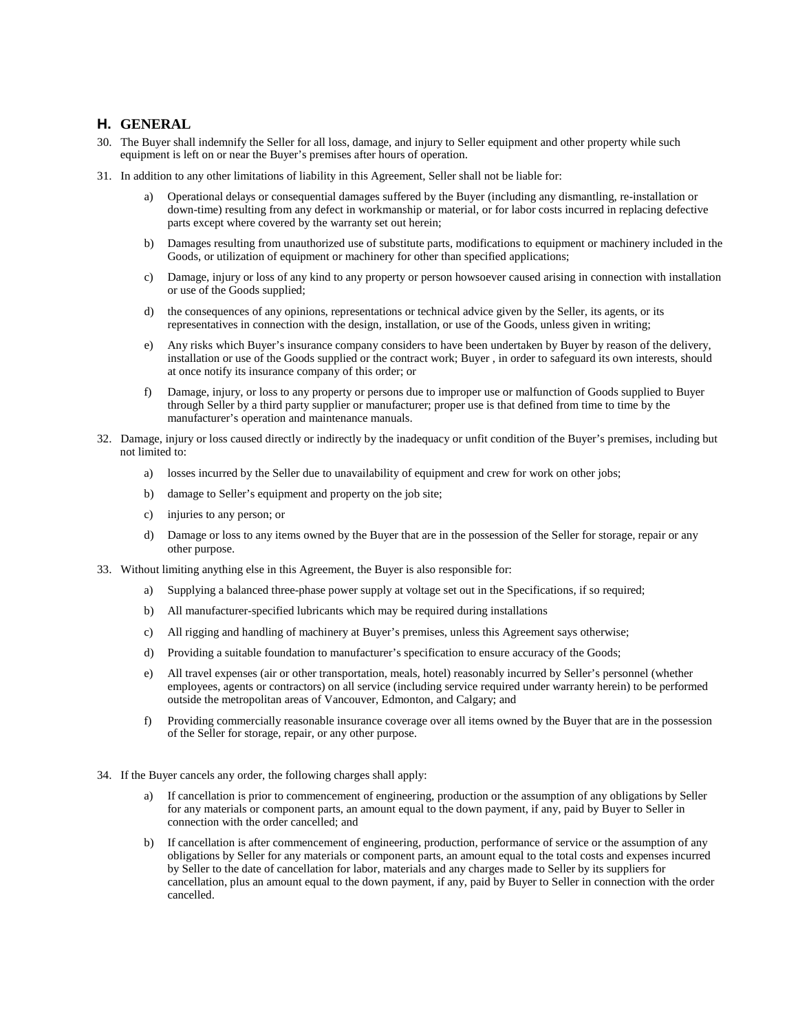### **H. GENERAL**

- 30. The Buyer shall indemnify the Seller for all loss, damage, and injury to Seller equipment and other property while such equipment is left on or near the Buyer's premises after hours of operation.
- 31. In addition to any other limitations of liability in this Agreement, Seller shall not be liable for:
	- a) Operational delays or consequential damages suffered by the Buyer (including any dismantling, re-installation or down-time) resulting from any defect in workmanship or material, or for labor costs incurred in replacing defective parts except where covered by the warranty set out herein;
	- b) Damages resulting from unauthorized use of substitute parts, modifications to equipment or machinery included in the Goods, or utilization of equipment or machinery for other than specified applications;
	- c) Damage, injury or loss of any kind to any property or person howsoever caused arising in connection with installation or use of the Goods supplied;
	- d) the consequences of any opinions, representations or technical advice given by the Seller, its agents, or its representatives in connection with the design, installation, or use of the Goods, unless given in writing;
	- e) Any risks which Buyer's insurance company considers to have been undertaken by Buyer by reason of the delivery, installation or use of the Goods supplied or the contract work; Buyer , in order to safeguard its own interests, should at once notify its insurance company of this order; or
	- f) Damage, injury, or loss to any property or persons due to improper use or malfunction of Goods supplied to Buyer through Seller by a third party supplier or manufacturer; proper use is that defined from time to time by the manufacturer's operation and maintenance manuals.
- 32. Damage, injury or loss caused directly or indirectly by the inadequacy or unfit condition of the Buyer's premises, including but not limited to:
	- a) losses incurred by the Seller due to unavailability of equipment and crew for work on other jobs;
	- b) damage to Seller's equipment and property on the job site;
	- c) injuries to any person; or
	- d) Damage or loss to any items owned by the Buyer that are in the possession of the Seller for storage, repair or any other purpose.
- 33. Without limiting anything else in this Agreement, the Buyer is also responsible for:
	- a) Supplying a balanced three-phase power supply at voltage set out in the Specifications, if so required;
	- b) All manufacturer-specified lubricants which may be required during installations
	- c) All rigging and handling of machinery at Buyer's premises, unless this Agreement says otherwise;
	- d) Providing a suitable foundation to manufacturer's specification to ensure accuracy of the Goods;
	- e) All travel expenses (air or other transportation, meals, hotel) reasonably incurred by Seller's personnel (whether employees, agents or contractors) on all service (including service required under warranty herein) to be performed outside the metropolitan areas of Vancouver, Edmonton, and Calgary; and
	- f) Providing commercially reasonable insurance coverage over all items owned by the Buyer that are in the possession of the Seller for storage, repair, or any other purpose.
- 34. If the Buyer cancels any order, the following charges shall apply:
	- a) If cancellation is prior to commencement of engineering, production or the assumption of any obligations by Seller for any materials or component parts, an amount equal to the down payment, if any, paid by Buyer to Seller in connection with the order cancelled; and
	- b) If cancellation is after commencement of engineering, production, performance of service or the assumption of any obligations by Seller for any materials or component parts, an amount equal to the total costs and expenses incurred by Seller to the date of cancellation for labor, materials and any charges made to Seller by its suppliers for cancellation, plus an amount equal to the down payment, if any, paid by Buyer to Seller in connection with the order cancelled.